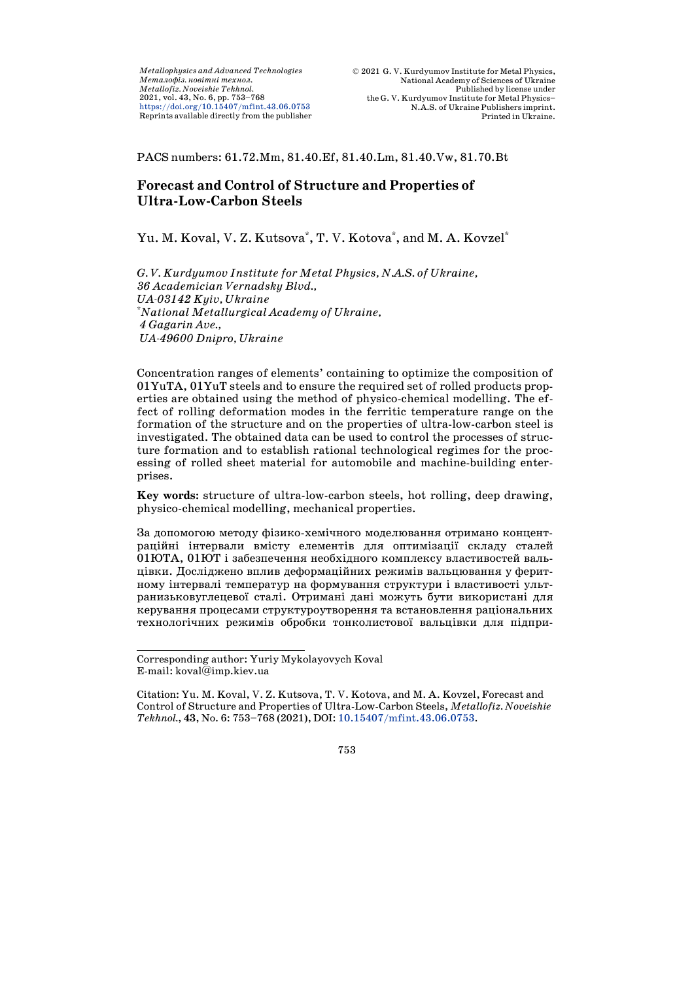PACS numbers: 61.72.Mm, 81.40.Ef, 81.40.Lm, 81.40.Vw, 81.70.Bt

# **Forecast and Control of Structure and Properties of Ultra-Low-Carbon Steels**

Yu. M. Koval, V. Z. Kutsova\*, T. V. Kotova\*, and M. A. Kovzel\*

*G. V. Kurdyumov Institute for Metal Physics, N.A.S. of Ukraine, 36 Academician Vernadsky Blvd., UA-03142 Kyiv, Ukraine* \* *National Metallurgical Academy of Ukraine, 4 Gagarin Ave., UA-49600 Dnipro, Ukraine*

Concentration ranges of elements' containing to optimize the composition of 01YuTA, 01YuT steels and to ensure the required set of rolled products properties are obtained using the method of physico-chemical modelling. The effect of rolling deformation modes in the ferritic temperature range on the formation of the structure and on the properties of ultra-low-carbon steel is investigated. The obtained data can be used to control the processes of structure formation and to establish rational technological regimes for the processing of rolled sheet material for automobile and machine-building enterprises.

**Key words:** structure of ultra-low-carbon steels, hot rolling, deep drawing, physico-chemical modelling, mechanical properties.

За допомогою методу фізико-хемічного моделювання отримано концентраційні інтервали вмісту елементів для оптимізації складу сталей 01ЮТА, 01ЮТ і забезпечення необхідного комплексу властивостей вальцівки. Досліджено вплив деформаційних режимів вальцювання у феритному інтервалі температур на формування структури і властивості ультранизьковуглецевої сталі. Отримані дані можуть бути використані для керування процесами структуроутворення та встановлення раціональних технологічних режимів обробки тонколистової вальцівки для підпри-

j Corresponding author: Yuriy Mykolayovych Koval E-mail: [koval@](mailto:aaauthor@gmail.ua)imp.kiev.ua

Citation: Yu. M. Koval, V. Z. Kutsova, T. V. Kotova, and M. A. Kovzel, Forecast and Control of Structure and Properties of Ultra-Low-Carbon Steels, *Metallofiz. Noveishie Tekhnol.*, **43**, No. 6: 753–768 (2021), DOI: [10.15407/mfint.43.06.0753.](https://doi.org/10.15407/mfint.43.06.0753)

<sup>753</sup>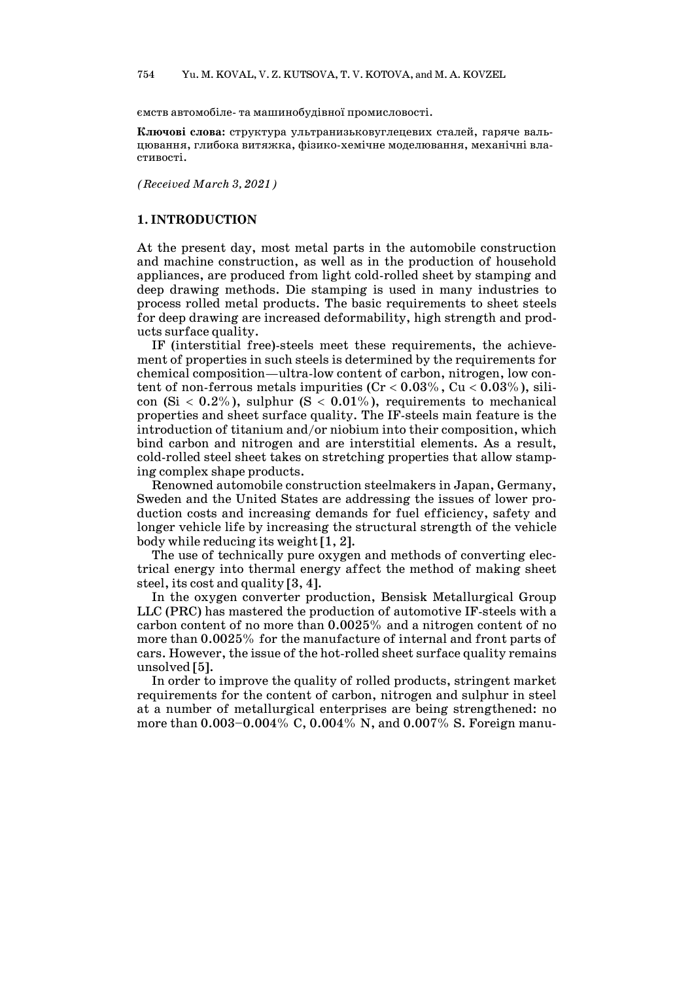ємств автомобіле- та машинобудівної промисловості.

**Ключові слова:** структура ультранизьковуглецевих сталей, гаряче вальцювання, глибока витяжка, фізико-хемічне моделювання, механічні властивості.

*(Received March 3, 2021)*

#### **1. INTRODUCTION**

At the present day, most metal parts in the automobile construction and machine construction, as well as in the production of household appliances, are produced from light cold-rolled sheet by stamping and deep drawing methods. Die stamping is used in many industries to process rolled metal products. The basic requirements to sheet steels for deep drawing are increased deformability, high strength and products surface quality.

IF (interstitial free)-steels meet these requirements, the achievement of properties in such steels is determined by the requirements for chemical composition—ultra-low content of carbon, nitrogen, low content of non-ferrous metals impurities  $(Cr < 0.03\%$ ,  $Cu < 0.03\%$ ), silicon  $(Si < 0.2\%)$ , sulphur  $(S < 0.01\%)$ , requirements to mechanical properties and sheet surface quality. The IF-steels main feature is the introduction of titanium and/or niobium into their composition, which bind carbon and nitrogen and are interstitial elements. As a result, cold-rolled steel sheet takes on stretching properties that allow stamping complex shape products.

Renowned automobile construction steelmakers in Japan, Germany, Sweden and the United States are addressing the issues of lower production costs and increasing demands for fuel efficiency, safety and longer vehicle life by increasing the structural strength of the vehicle body while reducing its weight [1, 2].

The use of technically pure oxygen and methods of converting electrical energy into thermal energy affect the method of making sheet steel, its cost and quality [3, 4].

In the oxygen converter production, Bensisk Metallurgical Group LLC (PRC) has mastered the production of automotive IF-steels with a carbon content of no more than 0.0025% and a nitrogen content of no more than 0.0025% for the manufacture of internal and front parts of cars. However, the issue of the hot-rolled sheet surface quality remains unsolved [5].

In order to improve the quality of rolled products, stringent market requirements for the content of carbon, nitrogen and sulphur in steel at a number of metallurgical enterprises are being strengthened: no more than 0.003–0.004% С, 0.004% N, and 0.007% S. Foreign manu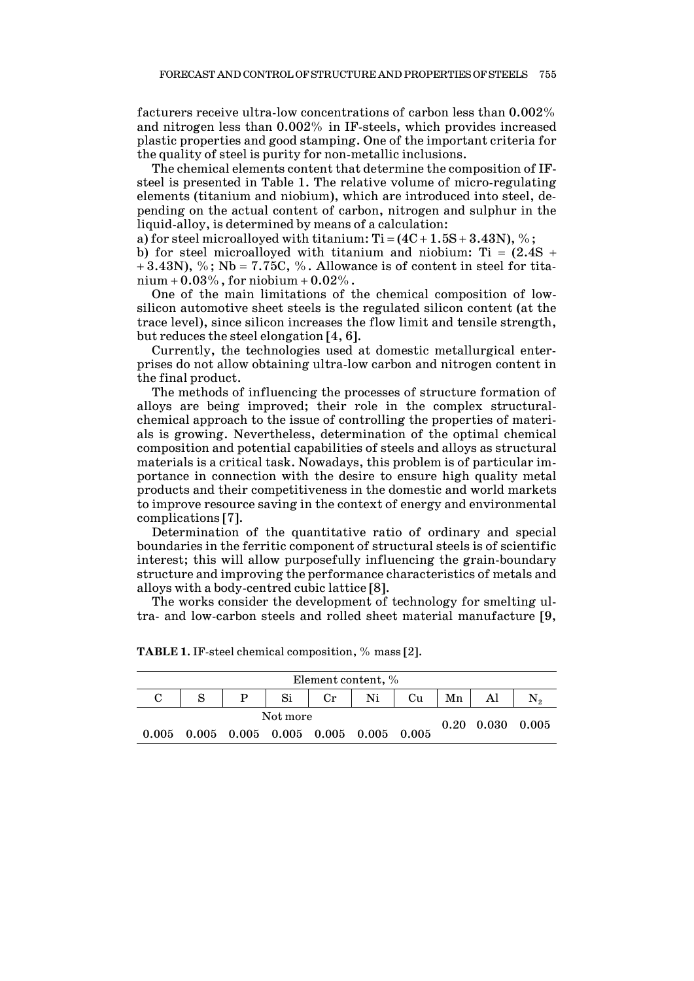facturers receive ultra-low concentrations of carbon less than 0.002% and nitrogen less than 0.002% in IF-steels, which provides increased plastic properties and good stamping. One of the important criteria for the quality of steel is purity for non-metallic inclusions.

The chemical elements content that determine the composition of IFsteel is presented in Table 1. The relative volume of micro-regulating elements (titanium and niobium), which are introduced into steel, depending on the actual content of carbon, nitrogen and sulphur in the liquid-alloy, is determined by means of a calculation:

a) for steel microalloyed with titanium:  $Ti = (4C + 1.5S + 3.43N)$ , %;

b) for steel microalloyed with titanium and niobium: Ti =  $(2.4S +$  $+3.43N$ , %; Nb = 7.75C, %. Allowance is of content in steel for tita $nium + 0.03\%$ , for niobium + 0.02%.

One of the main limitations of the chemical composition of lowsilicon automotive sheet steels is the regulated silicon content (at the trace level), since silicon increases the flow limit and tensile strength, but reduces the steel elongation [4, 6].

Currently, the technologies used at domestic metallurgical enterprises do not allow obtaining ultra-low carbon and nitrogen content in the final product.

The methods of influencing the processes of structure formation of alloys are being improved; their role in the complex structuralchemical approach to the issue of controlling the properties of materials is growing. Nevertheless, determination of the optimal chemical composition and potential capabilities of steels and alloys as structural materials is a critical task. Nowadays, this problem is of particular importance in connection with the desire to ensure high quality metal products and their competitiveness in the domestic and world markets to improve resource saving in the context of energy and environmental complications [7].

Determination of the quantitative ratio of ordinary and special boundaries in the ferritic component of structural steels is of scientific interest; this will allow purposefully influencing the grain-boundary structure and improving the performance characteristics of metals and alloys with a body-centred cubic lattice [8].

The works consider the development of technology for smelting ultra- and low-carbon steels and rolled sheet material manufacture [9,

| Element content, %                                      |   |                              |    |    |    |    |    |  |  |  |
|---------------------------------------------------------|---|------------------------------|----|----|----|----|----|--|--|--|
|                                                         | P | Si                           | Cr | Ni | Cu | Mn | Al |  |  |  |
|                                                         |   | $0.20\quad 0.030\quad 0.005$ |    |    |    |    |    |  |  |  |
| $0.005$ $0.005$ $0.005$ $0.005$ $0.005$ $0.005$ $0.005$ |   |                              |    |    |    |    |    |  |  |  |

**ТABLE 1.** IF-steel chemical composition, % mass [2].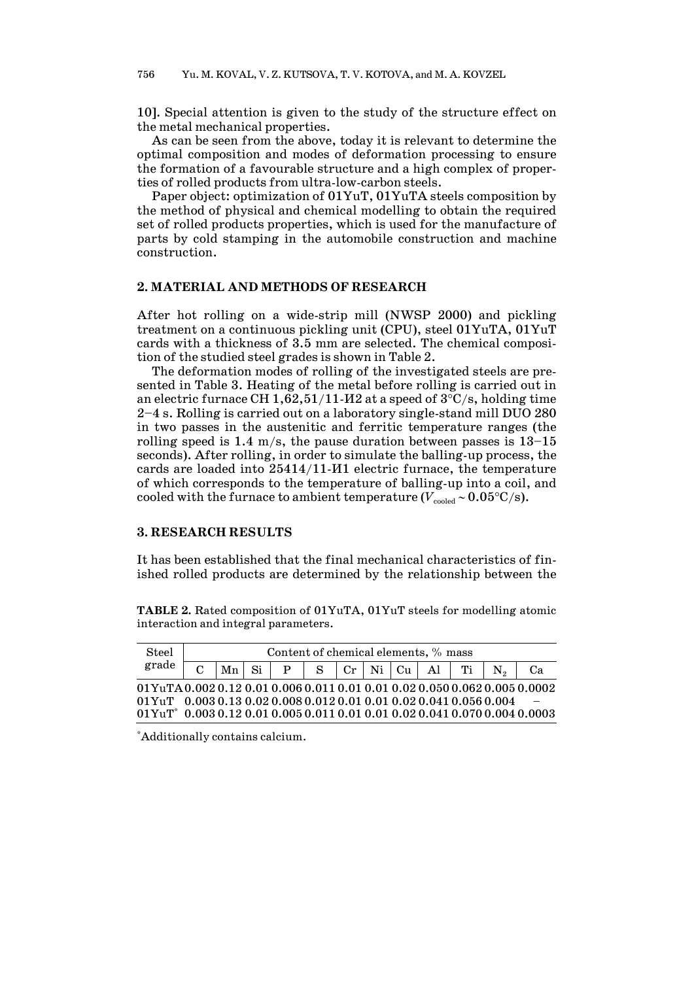10]. Special attention is given to the study of the structure effect on the metal mechanical properties.

As can be seen from the above, today it is relevant to determine the optimal composition and modes of deformation processing to ensure the formation of a favourable structure and a high complex of properties of rolled products from ultra-low-carbon steels.

Paper object: optimization of 01YuT, 01YuTA steels composition by the method of physical and chemical modelling to obtain the required set of rolled products properties, which is used for the manufacture of parts by cold stamping in the automobile construction and machine construction.

#### **2. MATERIAL AND METHODS OF RESEARCH**

After hot rolling on a wide-strip mill (NWSP 2000) and pickling treatment on a continuous pickling unit (CPU), steel 01YuTA, 01YuT cards with a thickness of 3.5 mm are selected. The chemical composition of the studied steel grades is shown in Table 2.

The deformation modes of rolling of the investigated steels are presented in Table 3. Heating of the metal before rolling is carried out in an electric furnace CH 1,62,51/11- $M2$  at a speed of  $3^{\circ}$ C/s, holding time 2–4 s. Rolling is carried out on a laboratory single-stand mill DUO 280 in two passes in the austenitic and ferritic temperature ranges (the rolling speed is 1.4 m/s, the pause duration between passes is  $13-15$ seconds). After rolling, in order to simulate the balling-up process, the cards are loaded into 25414/11-И1 electric furnace, the temperature of which corresponds to the temperature of balling-up into a coil, and cooled with the furnace to ambient temperature ( $V_{\text{cooled}} \sim 0.05$ °C/s).

#### **3. RESEARCH RESULTS**

It has been established that the final mechanical characteristics of finished rolled products are determined by the relationship between the

**ТABLE 2.** Rated composition of 01YuTA, 01YuT steels for modelling atomic interaction and integral parameters.

| Steel                                                                                                             | Content of chemical elements, % mass |  |  |  |  |  |  |  |                                              |  |  |  |  |
|-------------------------------------------------------------------------------------------------------------------|--------------------------------------|--|--|--|--|--|--|--|----------------------------------------------|--|--|--|--|
| grade                                                                                                             |                                      |  |  |  |  |  |  |  | $ Mn $ Si $ P $ S $ Cr $ Ni $ Cu $ Al $ Ti $ |  |  |  |  |
| 01YuTA0.0020.120.010.0060.0110.010.010.020.0500.0620.0050.0002                                                    |                                      |  |  |  |  |  |  |  |                                              |  |  |  |  |
| $0.01$ YuT $0.0030.130.020.0080.0120.010.010.020.0410.0560.004$                                                   |                                      |  |  |  |  |  |  |  |                                              |  |  |  |  |
| $01$ YuT <sup>*</sup> $0.003$ $0.12$ $0.01$ $0.005$ $0.011$ $0.01$ $0.01$ $0.02$ $0.041$ $0.070$ $0.004$ $0.0003$ |                                      |  |  |  |  |  |  |  |                                              |  |  |  |  |

\* Additionally contains calcium.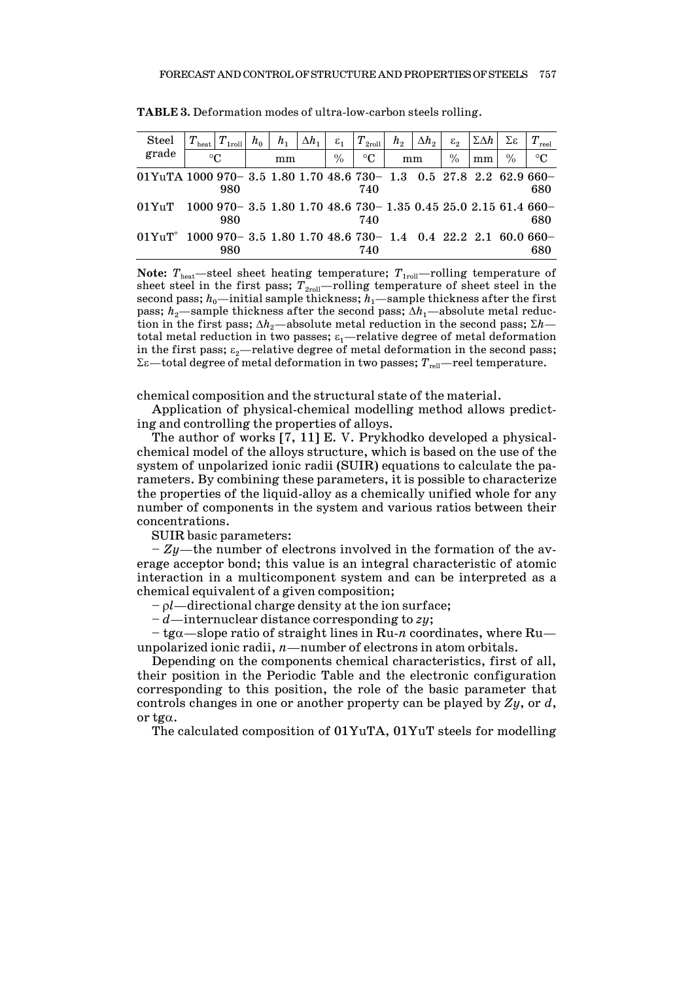| <b>Steel</b>                                                        | $T\rm_{heat}$ | $T_{1\rm roll}$                                            | $h_0$ | $h_1$ | $\Delta h_1$ | $\varepsilon_1$ | $T\rm_{2roll}$ | h <sub>2</sub> | $\Delta h_2$ | $\varepsilon$ <sub>2</sub> | $\Sigma \Delta h$ | Σε              | Т.<br>reel |
|---------------------------------------------------------------------|---------------|------------------------------------------------------------|-------|-------|--------------|-----------------|----------------|----------------|--------------|----------------------------|-------------------|-----------------|------------|
| grade                                                               | $^{\circ}C$   |                                                            | mm    |       | $\%$         | $\rm ^{\circ}C$ | mm             |                | $\%$         | mm                         | $\%$              | $\rm ^{\circ}C$ |            |
| 01YuTA 1000 970- 3.5 1.80 1.70 48.6 730- 1.3 0.5 27.8 2.2 62.9 660- |               |                                                            |       |       |              |                 |                |                |              |                            |                   |                 |            |
|                                                                     |               | 980                                                        |       |       |              |                 | 740            |                |              |                            |                   |                 | 680        |
| $01$ YuT                                                            |               | $1000970 - 3.51.801.7048.6730 - 1.350.4525.02.1561.4660 -$ |       |       |              |                 |                |                |              |                            |                   |                 |            |
|                                                                     |               | 980                                                        |       |       |              |                 | 740            |                |              |                            |                   |                 | 680        |
| $01Y_{11}T^*$                                                       |               | $1000970 - 3.51.801.7048.6730 - 1.40.422.22160.660 -$      |       |       |              |                 |                |                |              |                            |                   |                 |            |
|                                                                     |               | 980                                                        |       |       |              |                 | 740            |                |              |                            |                   |                 | 680        |

**ТABLE 3.** Deformation modes of ultra-low-carbon steels rolling.

**Note:**  $T_{\text{heat}}$ —steel sheet heating temperature;  $T_{\text{1roll}}$ —rolling temperature of sheet steel in the first pass;  $T_{2\text{roll}}$ —rolling temperature of sheet steel in the second pass;  $h_0$ —initial sample thickness;  $h_1$ —sample thickness after the first pass;  $h_2$ —sample thickness after the second pass;  $\Delta h_1$ —absolute metal reduction in the first pass;  $\Delta h_2$ —absolute metal reduction in the second pass;  $\Sigma h$  total metal reduction in two passes;  $\varepsilon_1$ —relative degree of metal deformation in the first pass;  $\varepsilon_2$ —relative degree of metal deformation in the second pass; Σε—total degree of metal deformation in two passes;  $T_{\text{rel}}$ —reel temperature.

chemical composition and the structural state of the material.

Application of physical-chemical modelling method allows predicting and controlling the properties of alloys.

The author of works [7, 11] E. V. Prykhodko developed a physicalchemical model of the alloys structure, which is based on the use of the system of unpolarized ionic radii (SUIR) equations to calculate the parameters. By combining these parameters, it is possible to characterize the properties of the liquid-alloy as a chemically unified whole for any number of components in the system and various ratios between their concentrations.

SUIR basic parameters:

– *Zy*—the number of electrons involved in the formation of the average acceptor bond; this value is an integral characteristic of atomic interaction in a multicomponent system and can be interpreted as a chemical equivalent of a given composition;

– ρ*l*—directional charge density at the ion surface;

– *d*—internuclear distance corresponding to *zy*;

– tgα—slope ratio of straight lines in Ru-*n* coordinates, where Ru unpolarized ionic radii, *n*—number of electrons in atom orbitals.

Depending on the components chemical characteristics, first of all, their position in the Periodic Table and the electronic configuration corresponding to this position, the role of the basic parameter that controls changes in one or another property can be played by *Zy*, or *d*, or tg $\alpha$ .

The calculated composition of 01YuTA, 01YuT steels for modelling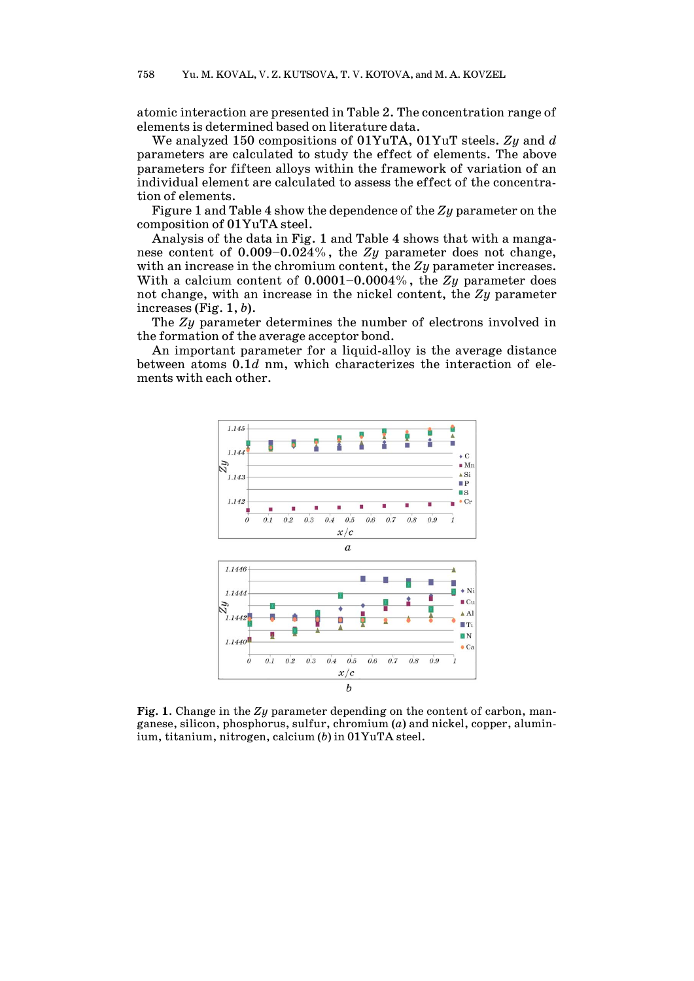atomic interaction are presented in Table 2. The concentration range of elements is determined based on literature data.

We analyzed 150 compositions of 01YuTA, 01YuT steels. *Zy* and *d* parameters are calculated to study the effect of elements. The above parameters for fifteen alloys within the framework of variation of an individual element are calculated to assess the effect of the concentration of elements.

Figure 1 and Table 4 show the dependence of the *Zy* parameter on the composition of 01YuTA steel.

Analysis of the data in Fig. 1 and Table 4 shows that with a manganese content of 0.009–0.024%, the *Zy* parameter does not change, with an increase in the chromium content, the *Zy* parameter increases. With a calcium content of 0.0001–0.0004%, the *Zy* parameter does not change, with an increase in the nickel content, the *Zy* parameter increases (Fig. 1, *b*).

The *Zy* parameter determines the number of electrons involved in the formation of the average acceptor bond.

An important parameter for a liquid-alloy is the average distance between atoms 0.1*d* nm, which characterizes the interaction of elements with each other.



**Fig. 1**. Change in the *Zy* parameter depending on the content of carbon, manganese, silicon, phosphorus, sulfur, chromium (*a*) and nickel, copper, aluminium, titanium, nitrogen, calcium (*b*) in 01YuTA steel.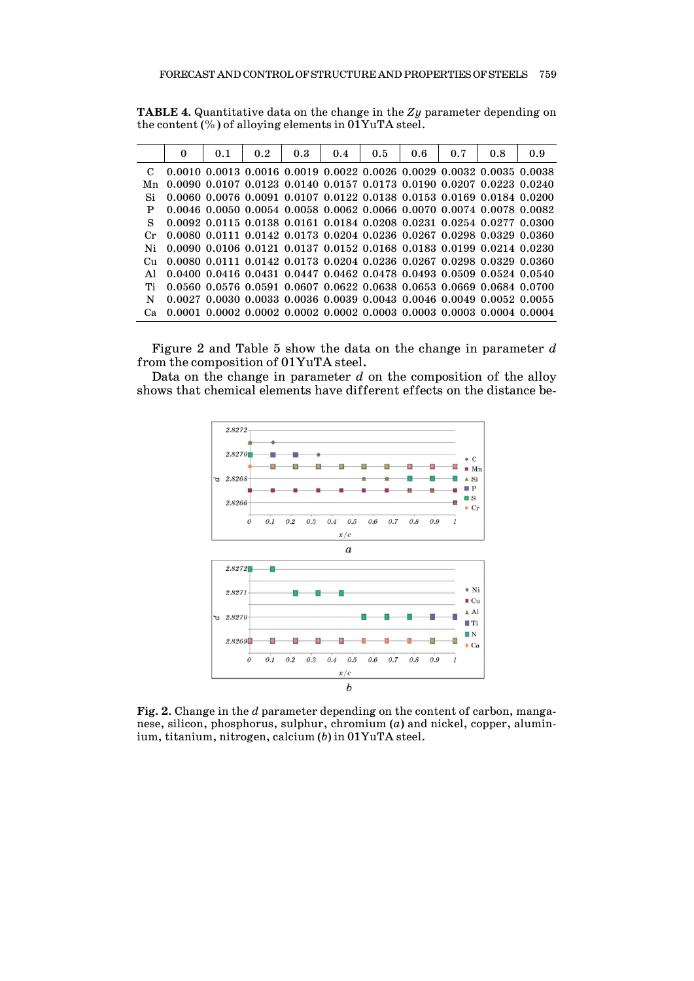|             | $\mathbf{0}$ | 0.1 | 0.2 | 0.3 | 0.4 | 0.5 | 0.6 | 0.7 | 0.8                                                                                       | 0.9 |
|-------------|--------------|-----|-----|-----|-----|-----|-----|-----|-------------------------------------------------------------------------------------------|-----|
|             |              |     |     |     |     |     |     |     | $0.0010\ 0.0013\ 0.0016\ 0.0019\ 0.0022\ 0.0026\ 0.0029\ 0.0032\ 0.0035\ 0.0038$          |     |
| Mn          |              |     |     |     |     |     |     |     | 0.0090 0.0107 0.0123 0.0140 0.0157 0.0173 0.0190 0.0207 0.0223 0.0240                     |     |
|             |              |     |     |     |     |     |     |     | 0.0060 0.0076 0.0091 0.0107 0.0122 0.0138 0.0153 0.0169 0.0184 0.0200                     |     |
|             |              |     |     |     |     |     |     |     | 0.0046 0.0050 0.0054 0.0058 0.0062 0.0066 0.0070 0.0074 0.0078 0.0082                     |     |
| S           |              |     |     |     |     |     |     |     | 0.0092 0.0115 0.0138 0.0161 0.0184 0.0208 0.0231 0.0254 0.0277 0.0300                     |     |
| $C_{\rm r}$ |              |     |     |     |     |     |     |     | 0.0080 0.0111 0.0142 0.0173 0.0204 0.0236 0.0267 0.0298 0.0329 0.0360                     |     |
|             |              |     |     |     |     |     |     |     | 0.0090 0.0106 0.0121 0.0137 0.0152 0.0168 0.0183 0.0199 0.0214 0.0230                     |     |
|             |              |     |     |     |     |     |     |     | 0.0080 0.0111 0.0142 0.0173 0.0204 0.0236 0.0267 0.0298 0.0329 0.0360                     |     |
|             |              |     |     |     |     |     |     |     | $0.0400$ $0.0416$ $0.0431$ $0.0447$ $0.0462$ $0.0478$ $0.0493$ $0.0509$ $0.0524$ $0.0540$ |     |
|             |              |     |     |     |     |     |     |     | 0.0560 0.0576 0.0591 0.0607 0.0622 0.0638 0.0653 0.0669 0.0684 0.0700                     |     |
|             |              |     |     |     |     |     |     |     | $0.0027$ $0.0030$ $0.0033$ $0.0036$ $0.0039$ $0.0043$ $0.0046$ $0.0049$ $0.0052$ $0.0055$ |     |
|             |              |     |     |     |     |     |     |     | $0.0001$ $0.0002$ $0.0002$ $0.0002$ $0.0002$ $0.0003$ $0.0003$ $0.0003$ $0.0004$ $0.0004$ |     |

**ТABLE 4.** Quantitative data on the change in the *Zy* parameter depending on the content (%) of alloying elements in 01YuTA steel.

Figure 2 and Table 5 show the data on the change in parameter *d* from the composition of 01YuTA steel.

Data on the change in parameter *d* on the composition of the alloy shows that chemical elements have different effects on the distance be-



**Fig. 2**. Change in the *d* parameter depending on the content of carbon, manganese, silicon, phosphorus, sulphur, chromium (*a*) and nickel, copper, aluminium, titanium, nitrogen, calcium (*b*) in 01YuTA steel.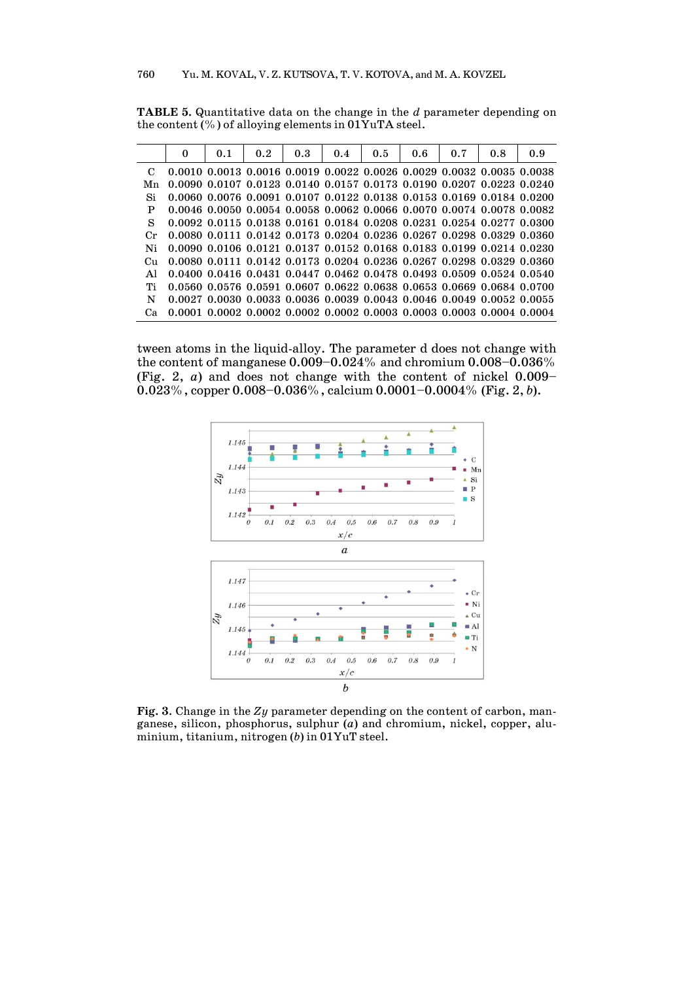|         | 0 | 0.1 | 0.2 | 0.3 | 0.4                                                                                       | 0.5 | 0.6 | 0.7 | 0.8 | 0.9 |
|---------|---|-----|-----|-----|-------------------------------------------------------------------------------------------|-----|-----|-----|-----|-----|
|         |   |     |     |     | $0.0010$ $0.0013$ $0.0016$ $0.0019$ $0.0022$ $0.0026$ $0.0029$ $0.0032$ $0.0035$ $0.0038$ |     |     |     |     |     |
| Mn      |   |     |     |     | 0.0090 0.0107 0.0123 0.0140 0.0157 0.0173 0.0190 0.0207 0.0223 0.0240                     |     |     |     |     |     |
| Si      |   |     |     |     | 0.0060 0.0076 0.0091 0.0107 0.0122 0.0138 0.0153 0.0169 0.0184 0.0200                     |     |     |     |     |     |
| P       |   |     |     |     | 0.0046 0.0050 0.0054 0.0058 0.0062 0.0066 0.0070 0.0074 0.0078 0.0082                     |     |     |     |     |     |
| S       |   |     |     |     | 0.0092 0.0115 0.0138 0.0161 0.0184 0.0208 0.0231 0.0254 0.0277 0.0300                     |     |     |     |     |     |
| $C_{r}$ |   |     |     |     | 0.0080 0.0111 0.0142 0.0173 0.0204 0.0236 0.0267 0.0298 0.0329 0.0360                     |     |     |     |     |     |
| Ni      |   |     |     |     | 0.0090 0.0106 0.0121 0.0137 0.0152 0.0168 0.0183 0.0199 0.0214 0.0230                     |     |     |     |     |     |
| Cu.     |   |     |     |     | 0.0080 0.0111 0.0142 0.0173 0.0204 0.0236 0.0267 0.0298 0.0329 0.0360                     |     |     |     |     |     |
|         |   |     |     |     | 0.0400 0.0416 0.0431 0.0447 0.0462 0.0478 0.0493 0.0509 0.0524 0.0540                     |     |     |     |     |     |
| Тi      |   |     |     |     | 0.0560 0.0576 0.0591 0.0607 0.0622 0.0638 0.0653 0.0669 0.0684 0.0700                     |     |     |     |     |     |
| N       |   |     |     |     | $0.0027$ $0.0030$ $0.0033$ $0.0036$ $0.0039$ $0.0043$ $0.0046$ $0.0049$ $0.0052$ $0.0055$ |     |     |     |     |     |
|         |   |     |     |     | $0.0001$ $0.0002$ $0.0002$ $0.0002$ $0.0002$ $0.0003$ $0.0003$ $0.0003$ $0.0004$ $0.0004$ |     |     |     |     |     |

**ТABLE 5.** Quantitative data on the change in the *d* parameter depending on the content (%) of alloying elements in 01YuTA steel.

tween atoms in the liquid-alloy. The parameter d does not change with the content of manganese 0.009–0.024% and chromium 0.008–0.036% (Fig. 2, *a*) and does not change with the content of nickel 0.009– 0.023%, copper 0.008–0.036%, calcium 0.0001–0.0004% (Fig. 2, *b*).



**Fig. 3**. Change in the *Zy* parameter depending on the content of carbon, manganese, silicon, phosphorus, sulphur (*a*) and chromium, nickel, copper, aluminium, titanium, nitrogen (*b*) in 01YuT steel.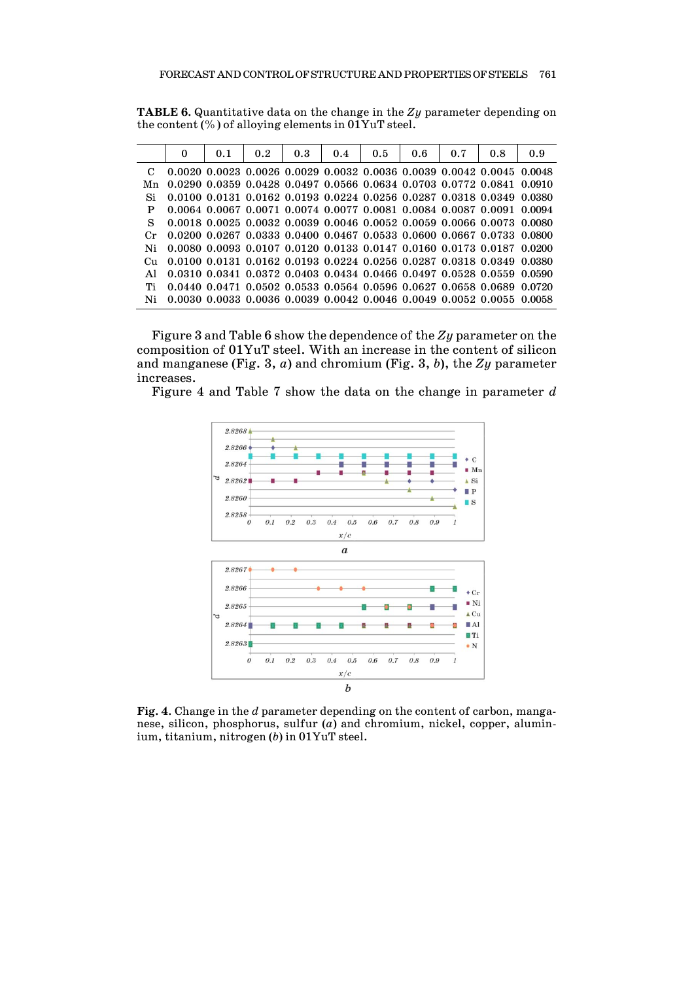**ТABLE 6.** Quantitative data on the change in the *Zy* parameter depending on the content (%) of alloying elements in 01YuT steel.

|    | 0 | 0.1 | 0.2 | 0.3 | 0.4 | 0.5 | 0.6 | 0.7 | 0.8                                                                                       | 0.9 |
|----|---|-----|-----|-----|-----|-----|-----|-----|-------------------------------------------------------------------------------------------|-----|
|    |   |     |     |     |     |     |     |     | $0.0020$ $0.0023$ $0.0026$ $0.0029$ $0.0032$ $0.0036$ $0.0039$ $0.0042$ $0.0045$ $0.0048$ |     |
| Mn |   |     |     |     |     |     |     |     | $0.0290$ $0.0359$ $0.0428$ $0.0497$ $0.0566$ $0.0634$ $0.0703$ $0.0772$ $0.0841$ $0.0910$ |     |
| Si |   |     |     |     |     |     |     |     | $0.0100$ $0.0131$ $0.0162$ $0.0193$ $0.0224$ $0.0256$ $0.0287$ $0.0318$ $0.0349$ $0.0380$ |     |
| P  |   |     |     |     |     |     |     |     | 0.0064 0.0067 0.0071 0.0074 0.0077 0.0081 0.0084 0.0087 0.0091 0.0094                     |     |
| S  |   |     |     |     |     |     |     |     | $0.0018$ $0.0025$ $0.0032$ $0.0039$ $0.0046$ $0.0052$ $0.0059$ $0.0066$ $0.0073$ $0.0080$ |     |
| Cr |   |     |     |     |     |     |     |     | $0.0200$ $0.0267$ $0.0333$ $0.0400$ $0.0467$ $0.0533$ $0.0600$ $0.0667$ $0.0733$ $0.0800$ |     |
| Ni |   |     |     |     |     |     |     |     | 0.0080 0.0093 0.0107 0.0120 0.0133 0.0147 0.0160 0.0173 0.0187 0.0200                     |     |
|    |   |     |     |     |     |     |     |     | $0.0100$ $0.0131$ $0.0162$ $0.0193$ $0.0224$ $0.0256$ $0.0287$ $0.0318$ $0.0349$ $0.0380$ |     |
| ΑI |   |     |     |     |     |     |     |     | 0.0310 0.0341 0.0372 0.0403 0.0434 0.0466 0.0497 0.0528 0.0559 0.0590                     |     |
|    |   |     |     |     |     |     |     |     | 0.0440 0.0471 0.0502 0.0533 0.0564 0.0596 0.0627 0.0658 0.0689 0.0720                     |     |
| Ni |   |     |     |     |     |     |     |     | $0.0030$ $0.0033$ $0.0036$ $0.0039$ $0.0042$ $0.0046$ $0.0049$ $0.0052$ $0.0055$ $0.0058$ |     |

Figure 3 and Table 6 show the dependence of the *Zy* parameter on the composition of 01YuT steel. With an increase in the content of silicon and manganese (Fig. 3, *a*) and chromium (Fig. 3, *b*), the *Zy* parameter increases.

Figure 4 and Table 7 show the data on the change in parameter *d*



**Fig. 4**. Change in the *d* parameter depending on the content of carbon, manganese, silicon, phosphorus, sulfur (*a*) and chromium, nickel, copper, aluminium, titanium, nitrogen (*b*) in 01YuT steel.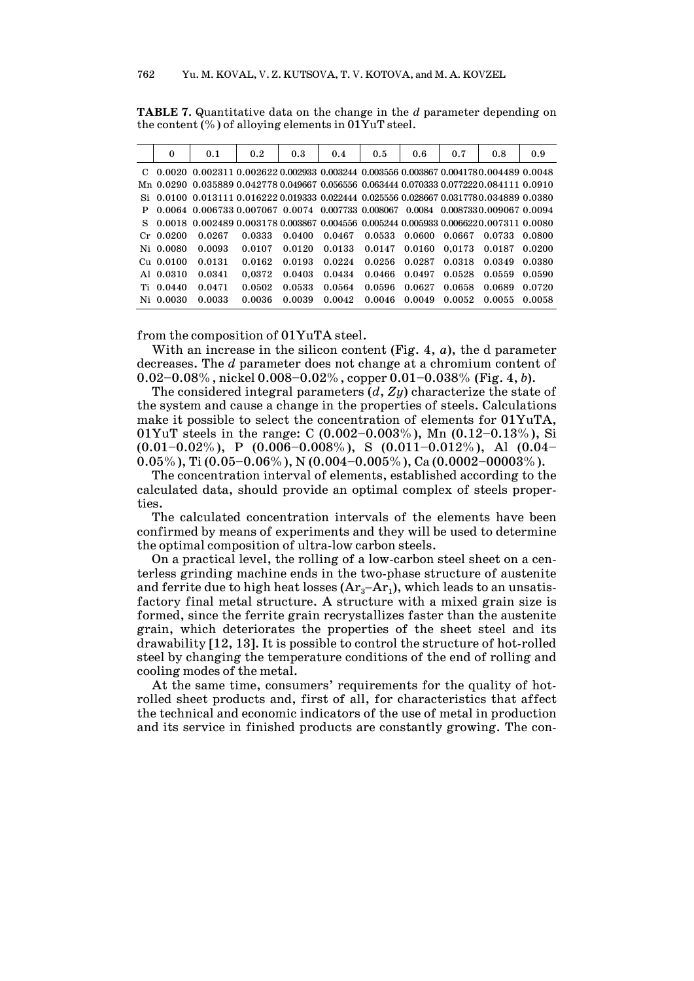|    | $\bf{0}$    | 0.1                                                                                                       | 0.2    | 0.3    | 0.4    | 0.5    | 0.6                         | 0.7    | 0.8    | 0.9    |
|----|-------------|-----------------------------------------------------------------------------------------------------------|--------|--------|--------|--------|-----------------------------|--------|--------|--------|
|    |             | $C$ 0.0020 0.002311 0.002622 0.002933 0.003244 0.003556 0.003867 0.0041780.004489 0.0048                  |        |        |        |        |                             |        |        |        |
|    |             | Mn 0.0290 0.035889 0.042778 0.049667 0.056556 0.063444 0.070333 0.0772220.084111 0.0910                   |        |        |        |        |                             |        |        |        |
|    |             | Si 0.0100 0.013111 0.016222 0.019333 0.022444 0.025556 0.028667 0.0317780.034889 0.0380                   |        |        |        |        |                             |        |        |        |
| P  |             | $0.0064$ $0.006733$ $0.007067$ $0.0074$ $0.007733$ $0.008067$ $0.0084$ $0.008733$ $0.009067$ $0.0094$     |        |        |        |        |                             |        |        |        |
| S. |             | $0.0018$ $0.002489$ $0.003178$ $0.003867$ $0.004556$ $0.005244$ $0.005933$ $0.006622$ $0.007311$ $0.0080$ |        |        |        |        |                             |        |        |        |
|    | $Cr$ 0.0200 | 0.0267                                                                                                    | 0.0333 | 0.0400 | 0.0467 | 0.0533 | 0.0600                      | 0.0667 | 0.0733 | 0.0800 |
|    | Ni 0.0080   | 0.0093                                                                                                    | 0.0107 | 0.0120 | 0.0133 |        | 0.0147 0.0160 0.0173 0.0187 |        |        | 0.0200 |
|    | $Cu$ 0.0100 | 0.0131                                                                                                    | 0.0162 | 0.0193 | 0.0224 | 0.0256 | 0.0287                      | 0.0318 | 0.0349 | 0.0380 |
|    | A1 0.0310   | 0.0341                                                                                                    | 0.0372 | 0.0403 | 0.0434 | 0.0466 | 0.0497                      | 0.0528 | 0.0559 | 0.0590 |
|    | Ti 0.0440   | 0.0471                                                                                                    | 0.0502 | 0.0533 | 0.0564 | 0.0596 | 0.0627                      | 0.0658 | 0.0689 | 0.0720 |
|    | Ni 0.0030   | 0.0033                                                                                                    | 0.0036 | 0.0039 | 0.0042 | 0.0046 | 0.0049                      | 0.0052 | 0.0055 | 0.0058 |

**ТABLE 7.** Quantitative data on the change in the *d* parameter depending on the content (%) of alloying elements in 01YuT steel.

from the composition of 01YuTA steel.

With an increase in the silicon content (Fig. 4, *a*), the d parameter decreases. The *d* parameter does not change at a chromium content of 0.02–0.08%, nickel 0.008–0.02%, copper 0.01–0.038% (Fig. 4, *b*).

The considered integral parameters (*d*, *Zy*) characterize the state of the system and cause a change in the properties of steels. Calculations make it possible to select the concentration of elements for 01YuTA, 01YuT steels in the range: С (0.002–0.003%), Mn (0.12–0.13%), Si  $(0.01-0.02\%)$ , P  $(0.006-0.008\%)$ , S  $(0.011-0.012\%)$ , Al  $(0.04-$ 0.05%), Ti (0.05–0.06%), N (0.004–0.005%), Ca (0.0002–00003%).

The concentration interval of elements, established according to the calculated data, should provide an optimal complex of steels properties.

The calculated concentration intervals of the elements have been confirmed by means of experiments and they will be used to determine the optimal composition of ultra-low carbon steels.

On a practical level, the rolling of a low-carbon steel sheet on a centerless grinding machine ends in the two-phase structure of austenite and ferrite due to high heat losses  $(Ar<sub>3</sub>–Ar<sub>1</sub>)$ , which leads to an unsatisfactory final metal structure. A structure with a mixed grain size is formed, since the ferrite grain recrystallizes faster than the austenite grain, which deteriorates the properties of the sheet steel and its drawability [12, 13]. It is possible to control the structure of hot-rolled steel by changing the temperature conditions of the end of rolling and cooling modes of the metal.

At the same time, consumers' requirements for the quality of hotrolled sheet products and, first of all, for characteristics that affect the technical and economic indicators of the use of metal in production and its service in finished products are constantly growing. The con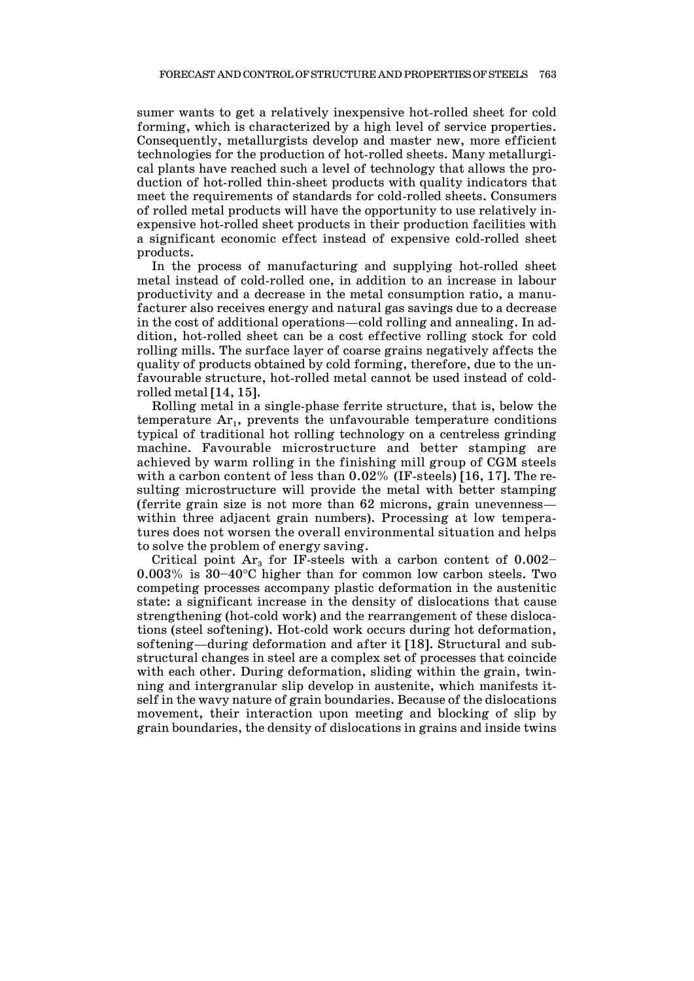sumer wants to get a relatively inexpensive hot-rolled sheet for cold forming, which is characterized by a high level of service properties. Consequently, metallurgists develop and master new, more efficient technologies for the production of hot-rolled sheets. Many metallurgical plants have reached such a level of technology that allows the production of hot-rolled thin-sheet products with quality indicators that meet the requirements of standards for cold-rolled sheets. Consumers of rolled metal products will have the opportunity to use relatively inexpensive hot-rolled sheet products in their production facilities with a significant economic effect instead of expensive cold-rolled sheet products.

In the process of manufacturing and supplying hot-rolled sheet metal instead of cold-rolled one, in addition to an increase in labour productivity and a decrease in the metal consumption ratio, a manufacturer also receives energy and natural gas savings due to a decrease in the cost of additional operations—cold rolling and annealing. In addition, hot-rolled sheet can be a cost effective rolling stock for cold rolling mills. The surface layer of coarse grains negatively affects the quality of products obtained by cold forming, therefore, due to the unfavourable structure, hot-rolled metal cannot be used instead of coldrolled metal [14, 15].

Rolling metal in a single-phase ferrite structure, that is, below the temperature  $Ar_1$ , prevents the unfavourable temperature conditions typical of traditional hot rolling technology on a centreless grinding machine. Favourable microstructure and better stamping are achieved by warm rolling in the finishing mill group of CGM steels with a carbon content of less than 0.02% (IF-steels) [16, 17]. The resulting microstructure will provide the metal with better stamping (ferrite grain size is not more than 62 microns, grain unevenness within three adjacent grain numbers). Processing at low temperatures does not worsen the overall environmental situation and helps to solve the problem of energy saving.

Critical point  $Ar<sub>3</sub>$  for IF-steels with a carbon content of  $0.002-$ 0.003% is 30–40°C higher than for common low carbon steels. Two competing processes accompany plastic deformation in the austenitic state: a significant increase in the density of dislocations that cause strengthening (hot-cold work) and the rearrangement of these dislocations (steel softening). Hot-cold work occurs during hot deformation, softening—during deformation and after it [18]. Structural and substructural changes in steel are a complex set of processes that coincide with each other. During deformation, sliding within the grain, twinning and intergranular slip develop in austenite, which manifests itself in the wavy nature of grain boundaries. Because of the dislocations movement, their interaction upon meeting and blocking of slip by grain boundaries, the density of dislocations in grains and inside twins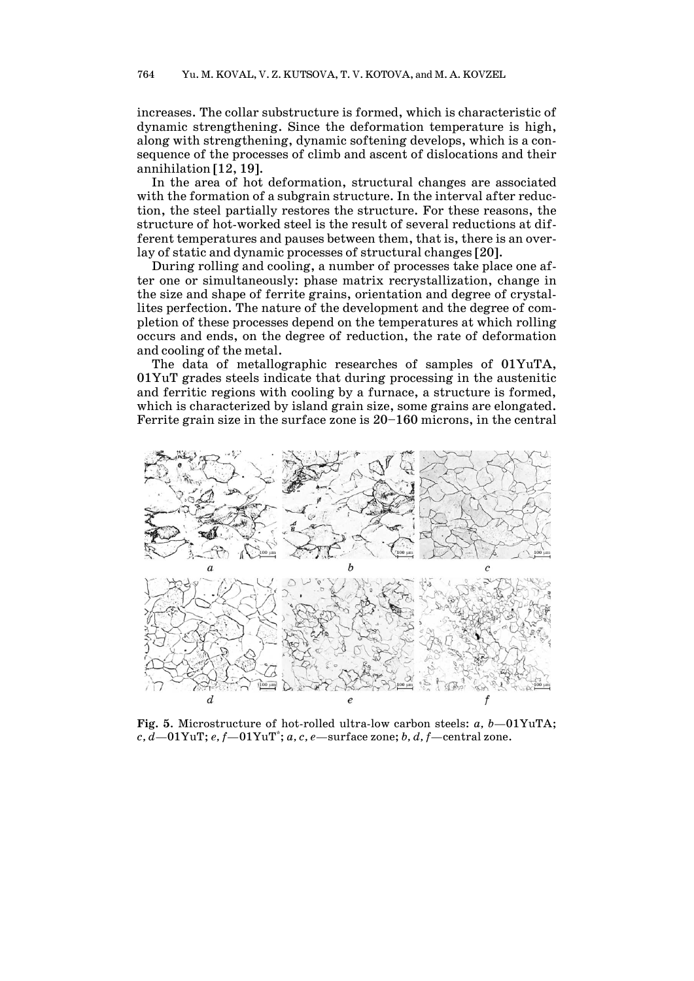increases. The collar substructure is formed, which is characteristic of dynamic strengthening. Since the deformation temperature is high, along with strengthening, dynamic softening develops, which is a consequence of the processes of climb and ascent of dislocations and their annihilation [12, 19].

In the area of hot deformation, structural changes are associated with the formation of a subgrain structure. In the interval after reduction, the steel partially restores the structure. For these reasons, the structure of hot-worked steel is the result of several reductions at different temperatures and pauses between them, that is, there is an overlay of static and dynamic processes of structural changes [20].

During rolling and cooling, a number of processes take place one after one or simultaneously: phase matrix recrystallization, change in the size and shape of ferrite grains, orientation and degree of crystallites perfection. The nature of the development and the degree of completion of these processes depend on the temperatures at which rolling occurs and ends, on the degree of reduction, the rate of deformation and cooling of the metal.

The data of metallographic researches of samples of 01YuTA, 01YuT grades steels indicate that during processing in the austenitic and ferritic regions with cooling by a furnace, a structure is formed, which is characterized by island grain size, some grains are elongated. Ferrite grain size in the surface zone is 20–160 microns, in the central



**Fig. 5**. Microstructure of hot-rolled ultra-low carbon steels: *à, b*—01YuTA; *c, d*—01YuT; *e, f*—01YuT\* ; *a, c, e*—surface zone; *b, d, f*—central zone.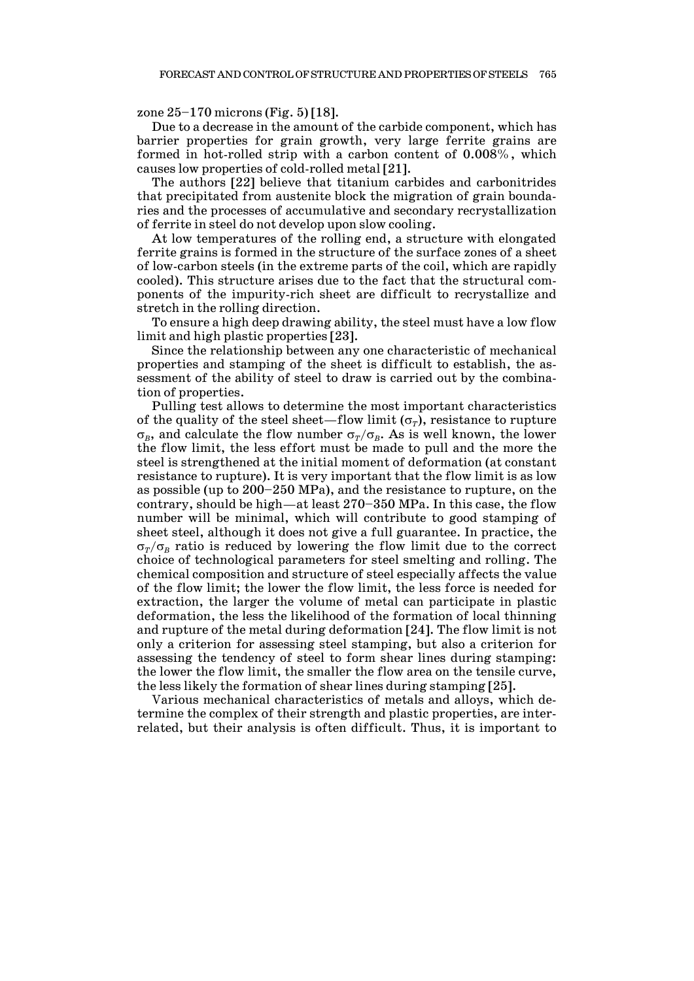#### zone 25–170 microns (Fig. 5) [18].

Due to a decrease in the amount of the carbide component, which has barrier properties for grain growth, very large ferrite grains are formed in hot-rolled strip with a carbon content of 0.008%, which causes low properties of cold-rolled metal [21].

The authors [22] believe that titanium carbides and carbonitrides that precipitated from austenite block the migration of grain boundaries and the processes of accumulative and secondary recrystallization of ferrite in steel do not develop upon slow cooling.

At low temperatures of the rolling end, a structure with elongated ferrite grains is formed in the structure of the surface zones of a sheet of low-carbon steels (in the extreme parts of the coil, which are rapidly cooled). This structure arises due to the fact that the structural components of the impurity-rich sheet are difficult to recrystallize and stretch in the rolling direction.

To ensure a high deep drawing ability, the steel must have a low flow limit and high plastic properties [23].

Since the relationship between any one characteristic of mechanical properties and stamping of the sheet is difficult to establish, the assessment of the ability of steel to draw is carried out by the combination of properties.

Pulling test allows to determine the most important characteristics of the quality of the steel sheet—flow limit ( $\sigma_r$ ), resistance to rupture σ<sub>*B*</sub>, and calculate the flow number  $\sigma_T/\sigma_B$ . As is well known, the lower the flow limit, the less effort must be made to pull and the more the steel is strengthened at the initial moment of deformation (at constant resistance to rupture). It is very important that the flow limit is as low as possible (up to 200–250 MPa), and the resistance to rupture, on the contrary, should be high—at least 270–350 MPa. In this case, the flow number will be minimal, which will contribute to good stamping of sheet steel, although it does not give a full guarantee. In practice, the  $\sigma_T/\sigma_B$  ratio is reduced by lowering the flow limit due to the correct choice of technological parameters for steel smelting and rolling. The chemical composition and structure of steel especially affects the value of the flow limit; the lower the flow limit, the less force is needed for extraction, the larger the volume of metal can participate in plastic deformation, the less the likelihood of the formation of local thinning and rupture of the metal during deformation [24]. The flow limit is not only a criterion for assessing steel stamping, but also a criterion for assessing the tendency of steel to form shear lines during stamping: the lower the flow limit, the smaller the flow area on the tensile curve, the less likely the formation of shear lines during stamping [25].

Various mechanical characteristics of metals and alloys, which determine the complex of their strength and plastic properties, are interrelated, but their analysis is often difficult. Thus, it is important to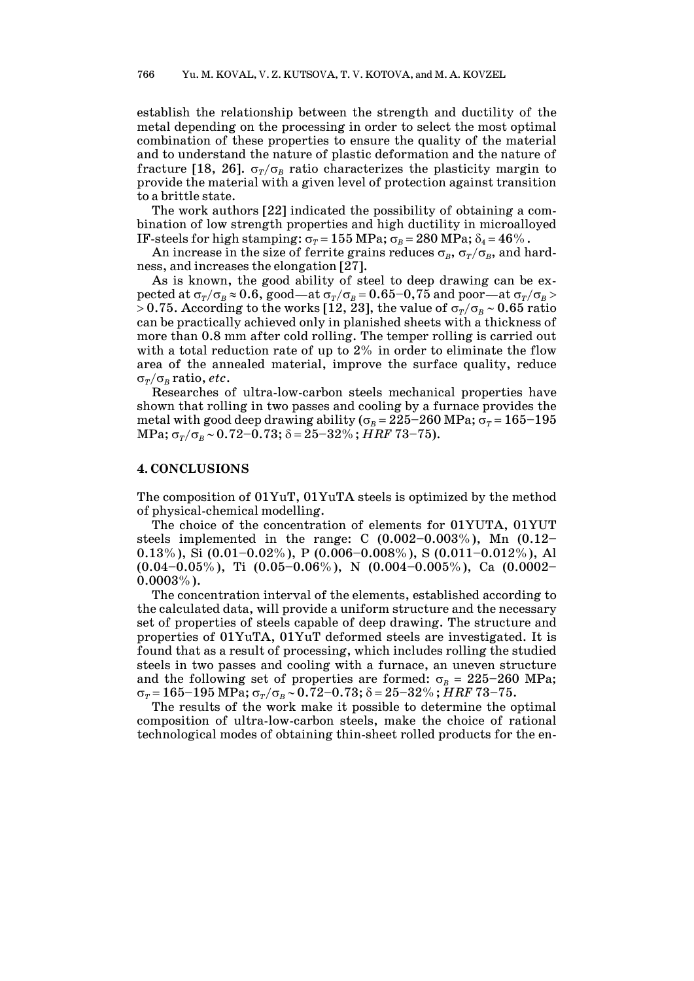establish the relationship between the strength and ductility of the metal depending on the processing in order to select the most optimal combination of these properties to ensure the quality of the material and to understand the nature of plastic deformation and the nature of fracture [18, 26].  $\sigma_r/\sigma_B$  ratio characterizes the plasticity margin to provide the material with a given level of protection against transition to a brittle state.

The work authors [22] indicated the possibility of obtaining a combination of low strength properties and high ductility in microalloyed IF-steels for high stamping:  $\sigma_T = 155 \text{ MPa}$ ;  $\sigma_B = 280 \text{ MPa}$ ;  $\delta_4 = 46\%$ .

An increase in the size of ferrite grains reduces  $\sigma_B$ ,  $\sigma_T/\sigma_B$ , and hardness, and increases the elongation [27].

As is known, the good ability of steel to deep drawing can be expected at  $\sigma_T/\sigma_B \approx 0.6$ , good—at  $\sigma_T/\sigma_B = 0.65 - 0.75$  and poor—at  $\sigma_T/\sigma_B$ > 0.75. According to the works [12, 23], the value of  $\sigma_T/\sigma_B \sim 0.65$  ratio can be practically achieved only in planished sheets with a thickness of more than 0.8 mm after cold rolling. The temper rolling is carried out with a total reduction rate of up to 2% in order to eliminate the flow area of the annealed material, improve the surface quality, reduce σ*T*/σ*<sup>B</sup>* ratio, *etc*.

Researches of ultra-low-carbon steels mechanical properties have shown that rolling in two passes and cooling by a furnace provides the metal with good deep drawing ability ( $\sigma_B = 225-260$  MPa;  $\sigma_T = 165-195$  $MPa; σ<sub>T</sub>/σ<sub>B</sub> ~ 0.72–0.73; δ = 25–32% ; HRF 73–75).$ 

## **4. CONCLUSIONS**

The composition of 01YuT, 01YuTA steels is optimized by the method of physical-chemical modelling.

The choice of the concentration of elements for 01YUTA, 01YUT steels implemented in the range: C  $(0.002-0.003\%)$ , Mn  $(0.12-$ 0.13%), Si  $(0.01-0.02\%)$ , P  $(0.006-0.008\%)$ , S  $(0.011-0.012\%)$ , Al  $(0.04-0.05\%)$ , Ti  $(0.05-0.06\%)$ , N  $(0.004-0.005\%)$ , Ca  $(0.0002 0.0003\%$ ).

The concentration interval of the elements, established according to the calculated data, will provide a uniform structure and the necessary set of properties of steels capable of deep drawing. The structure and properties of 01YuTA, 01YuT deformed steels are investigated. It is found that as a result of processing, which includes rolling the studied steels in two passes and cooling with a furnace, an uneven structure and the following set of properties are formed:  $\sigma_B = 225-260$  MPa; σ*<sup>T</sup>* = 165–195 MPa; σ*T*/σ*<sup>B</sup>* ∼ 0.72–0.73; δ = 25–32%; *HRF* 73–75.

The results of the work make it possible to determine the optimal composition of ultra-low-carbon steels, make the choice of rational technological modes of obtaining thin-sheet rolled products for the en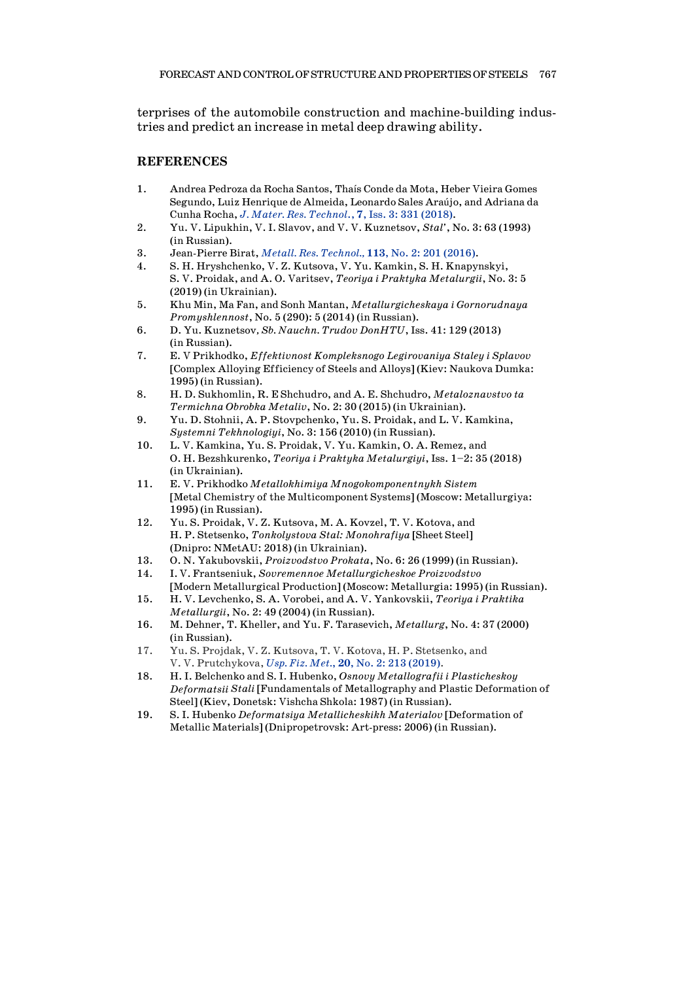terprises of the automobile construction and machine-building industries and predict an increase in metal deep drawing ability.

### **REFERENCES**

- 1. Andrea Pedroza da Rocha Santos, Thaís Conde da Mota, Heber Vieira Gomes Segundo, Luiz Henrique de Almeida, Leonardo Sales Araújo, and Adriana da Cunha Rocha, *J. Mater. Res. [Technol](https://doi.org/10.1016/j.jmrt.2018.04.009)*., **7**, Iss. 3: 331 (2018).
- 2. Yu. V. Lipukhin, V. I. Slavov, and V. V. Kuznetsov, *Stal'*, No. 3: 63 (1993) (in Russian).
- 3. Jean-Pierre Birat, *Metall. Res. [Technol.,](https://doi.org/10.1051/metal/2015050)* **113**, No. 2: 201 (2016).
- 4. S. H. Hryshchenko, V. Z. Kutsova, V. Yu. Kamkin, S. H. Knapynskyi, S. V. Proidak, and A. O. Varitsev, *Teoriya i Praktyka Metalurgii*, No. 3: 5 (2019) (in Ukrainian).
- 5. Khu Min, Ma Fan, and Sonh Mantan, *Metallurgicheskaya i Gornorudnaya Promyshlennost*, No. 5 (290): 5 (2014) (in Russian).
- 6. D. Yu. Kuznetsov*, Sb. Nauchn. Trudov DonHTU*, Iss. 41: 129 (2013) (in Russian).
- 7. E. V Prikhodko, *Effektivnost Kompleksnogo Legirovaniya Staley i Splavov* [Complex Alloying Efficiency of Steels and Alloys] (Kiev: Naukova Dumka: 1995) (in Russian).
- 8. H. D. Sukhomlin, R. E Shchudro, and A. E. Shchudro, *Metaloznavstvo ta Termichna Obrobka Metaliv*, No. 2: 30 (2015) (in Ukrainian).
- 9. Yu. D. Stohnii, A. P. Stovpchenko, Yu. S. Proidak, and L. V. Kamkina, *Systemni Tekhnologiyi*, No. 3: 156 (2010) (in Russian).
- 10. L. V. Kamkina, Yu. S. Proidak, V. Yu. Kamkin, O. A. Remez, and O. H. Bezshkurenko, *Teoriya i Praktyka Metalurgiyi*, Iss. 1–2: 35 (2018) (in Ukrainian).
- 11. E. V. Prikhodko *Metallokhimiya Mnogokomponentnykh Sistem* [Metal Chemistry of the Multicomponent Systems] (Moscow: Metallurgiya: 1995) (in Russian).
- 12. Yu. S. Proidak, V. Z. Kutsova, M. A. Kovzel, T. V. Kotova, and H. P. Stetsenko, *Tonkolystova Stal: Monohrafiya* [Sheet Steel] (Dnipro: NMetAU: 2018) (in Ukrainian).
- 13. O. N. Yakubovskii, *Proizvodstvo Prokata*, No. 6: 26 (1999) (in Russian).
- 14. I. V. Frantseniuk, *Sovremennoe Metallurgicheskoe Proizvodstvo* [Modern Metallurgical Production] (Moscow: Metallurgia: 1995) (in Russian).
- 15. H. V. Levchenko, S. A. Vorobei, and A. V. Yankovskii, *Teoriya i Praktika Metallurgii*, No. 2: 49 (2004) (in Russian).
- 16. M. Dehner, T. Kheller, and Yu. F. Tarasevich, *Metallurg*, No. 4: 37 (2000) (in Russian).
- 17. Yu. S. Projdak, V. Z. Kutsova, T. V. Kotova, H. P. Stetsenko, and V. V. Prutchykova, *Usp. Fiz. Met.*, **20**, No. 2: 213 [\(2019\).](https://doi.org/10.15407/ufm.20.02.213)
- 18. H. I. Belchenko and S. I. Hubenko, *Osnovy Metallografii i Plasticheskoy Deformatsii Stali* [Fundamentals of Metallography and Plastic Deformation of Steel] (Kiev, Donetsk: Vishcha Shkola: 1987) (in Russian).
- 19. S. I. Hubenko *Deformatsiya Metallicheskikh Materialov* [Deformation of Metallic Materials] (Dnipropetrovsk: Art-press: 2006) (in Russian).